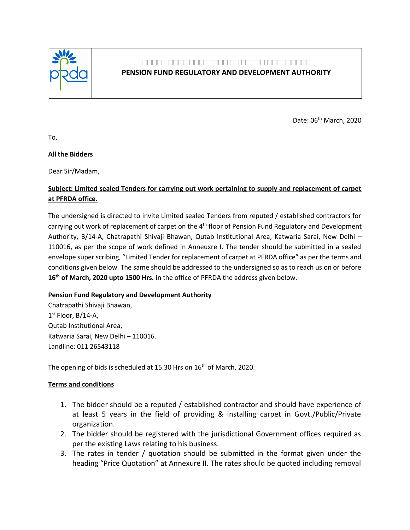

# **पपपपप पपपप पपपपपपपप पप पपपपप पपपपपपपपप**

## **PENSION FUND REGULATORY AND DEVELOPMENT AUTHORITY**

Date: 06<sup>th</sup> March, 2020

To,

### **All the Bidders**

Dear Sir/Madam,

## **Subject: Limited sealed Tenders for carrying out work pertaining to supply and replacement of carpet at PFRDA office.**

The undersigned is directed to invite Limited sealed Tenders from reputed / established contractors for carrying out work of replacement of carpet on the 4<sup>th</sup> floor of Pension Fund Regulatory and Development Authority, B/14-A, Chatrapathi Shivaji Bhawan, Qutab Institutional Area, Katwaria Sarai, New Delhi – 110016, as per the scope of work defined in Anneuxre I. The tender should be submitted in a sealed envelope super scribing, "Limited Tender for replacement of carpet at PFRDA office" as per the terms and conditions given below. The same should be addressed to the undersigned so as to reach us on or before **16th of March, 2020 upto 1500 Hrs.** in the office of PFRDA the address given below.

## **Pension Fund Regulatory and Development Authority**

Chatrapathi Shivaji Bhawan, 1 st Floor, B/14-A, Qutab Institutional Area, Katwaria Sarai, New Delhi – 110016. Landline: 011 26543118

The opening of bids is scheduled at 15.30 Hrs on 16<sup>th</sup> of March, 2020.

## **Terms and conditions**

- 1. The bidder should be a reputed / established contractor and should have experience of at least 5 years in the field of providing & installing carpet in Govt./Public/Private organization.
- 2. The bidder should be registered with the jurisdictional Government offices required as per the existing Laws relating to his business.
- 3. The rates in tender / quotation should be submitted in the format given under the heading "Price Quotation" at Annexure II. The rates should be quoted including removal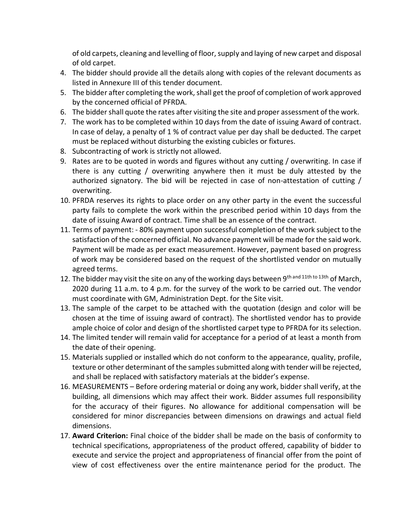of old carpets, cleaning and levelling of floor, supply and laying of new carpet and disposal of old carpet.

- 4. The bidder should provide all the details along with copies of the relevant documents as listed in Annexure III of this tender document.
- 5. The bidder after completing the work, shall get the proof of completion of work approved by the concerned official of PFRDA.
- 6. The bidder shall quote the rates after visiting the site and proper assessment of the work.
- 7. The work has to be completed within 10 days from the date of issuing Award of contract. In case of delay, a penalty of 1 % of contract value per day shall be deducted. The carpet must be replaced without disturbing the existing cubicles or fixtures.
- 8. Subcontracting of work is strictly not allowed.
- 9. Rates are to be quoted in words and figures without any cutting / overwriting. In case if there is any cutting / overwriting anywhere then it must be duly attested by the authorized signatory. The bid will be rejected in case of non-attestation of cutting / overwriting.
- 10. PFRDA reserves its rights to place order on any other party in the event the successful party fails to complete the work within the prescribed period within 10 days from the date of issuing Award of contract. Time shall be an essence of the contract.
- 11. Terms of payment: 80% payment upon successful completion of the work subject to the satisfaction of the concerned official. No advance payment will be made for the said work. Payment will be made as per exact measurement. However, payment based on progress of work may be considered based on the request of the shortlisted vendor on mutually agreed terms.
- 12. The bidder may visit the site on any of the working days between 9<sup>th and 11th to 13th</sup> of March, 2020 during 11 a.m. to 4 p.m. for the survey of the work to be carried out. The vendor must coordinate with GM, Administration Dept. for the Site visit.
- 13. The sample of the carpet to be attached with the quotation (design and color will be chosen at the time of issuing award of contract). The shortlisted vendor has to provide ample choice of color and design of the shortlisted carpet type to PFRDA for its selection.
- 14. The limited tender will remain valid for acceptance for a period of at least a month from the date of their opening.
- 15. Materials supplied or installed which do not conform to the appearance, quality, profile, texture or other determinant of the samples submitted along with tender will be rejected, and shall be replaced with satisfactory materials at the bidder's expense.
- 16. MEASUREMENTS Before ordering material or doing any work, bidder shall verify, at the building, all dimensions which may affect their work. Bidder assumes full responsibility for the accuracy of their figures. No allowance for additional compensation will be considered for minor discrepancies between dimensions on drawings and actual field dimensions.
- 17. **Award Criterion:** Final choice of the bidder shall be made on the basis of conformity to technical specifications, appropriateness of the product offered, capability of bidder to execute and service the project and appropriateness of financial offer from the point of view of cost effectiveness over the entire maintenance period for the product. The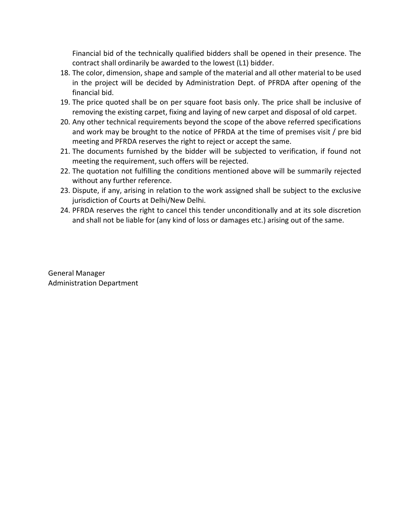Financial bid of the technically qualified bidders shall be opened in their presence. The contract shall ordinarily be awarded to the lowest (L1) bidder.

- 18. The color, dimension, shape and sample of the material and all other material to be used in the project will be decided by Administration Dept. of PFRDA after opening of the financial bid.
- 19. The price quoted shall be on per square foot basis only. The price shall be inclusive of removing the existing carpet, fixing and laying of new carpet and disposal of old carpet.
- 20. Any other technical requirements beyond the scope of the above referred specifications and work may be brought to the notice of PFRDA at the time of premises visit / pre bid meeting and PFRDA reserves the right to reject or accept the same.
- 21. The documents furnished by the bidder will be subjected to verification, if found not meeting the requirement, such offers will be rejected.
- 22. The quotation not fulfilling the conditions mentioned above will be summarily rejected without any further reference.
- 23. Dispute, if any, arising in relation to the work assigned shall be subject to the exclusive jurisdiction of Courts at Delhi/New Delhi.
- 24. PFRDA reserves the right to cancel this tender unconditionally and at its sole discretion and shall not be liable for (any kind of loss or damages etc.) arising out of the same.

General Manager Administration Department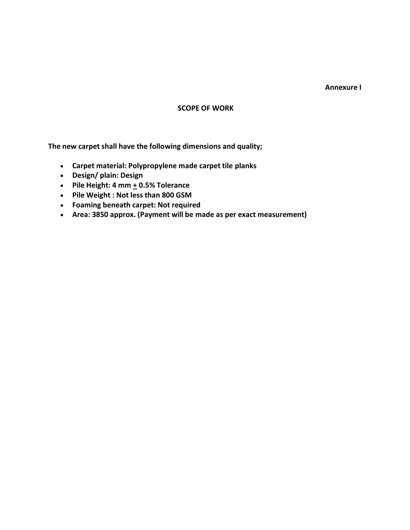#### **Annexure I**

#### **SCOPE OF WORK**

**The new carpet shall have the following dimensions and quality;**

- **Carpet material: Polypropylene made carpet tile planks**
- **Design/ plain: Design**
- **•** Pile Height: 4 mm  $+$  0.5% Tolerance
- **Pile Weight : Not less than 800 GSM**
- **Foaming beneath carpet: Not required**
- **Area: 3850 approx. (Payment will be made as per exact measurement)**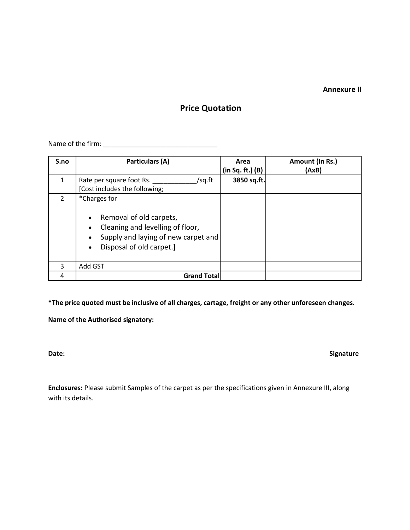**Annexure II**

# **Price Quotation**

Name of the firm: \_\_\_\_\_\_\_\_\_\_\_\_\_\_\_\_\_\_\_\_\_\_\_\_\_\_\_\_\_\_\_

| S.no          | Particulars (A)                                                                                                                                             | Area<br>(in Sq. ft.) (B) | Amount (In Rs.)<br>(AxB) |
|---------------|-------------------------------------------------------------------------------------------------------------------------------------------------------------|--------------------------|--------------------------|
| 1             | Rate per square foot Rs.<br>/sq.ft<br>[Cost includes the following;                                                                                         | 3850 sq.ft.              |                          |
| $\mathcal{P}$ | *Charges for<br>Removal of old carpets,<br>Cleaning and levelling of floor,<br>Supply and laying of new carpet and<br>Disposal of old carpet.]<br>$\bullet$ |                          |                          |
| 3             | Add GST                                                                                                                                                     |                          |                          |
| 4             | <b>Grand Total</b>                                                                                                                                          |                          |                          |

**\*The price quoted must be inclusive of all charges, cartage, freight or any other unforeseen changes.**

**Name of the Authorised signatory:** 

Date: Signature **Contract Contract Contract Contract Contract Contract Contract Contract Contract Contract Contract Contract Contract Contract Contract Contract Contract Contract Contract Contract Contract Contract Contrac** 

**Enclosures:** Please submit Samples of the carpet as per the specifications given in Annexure III, along with its details.